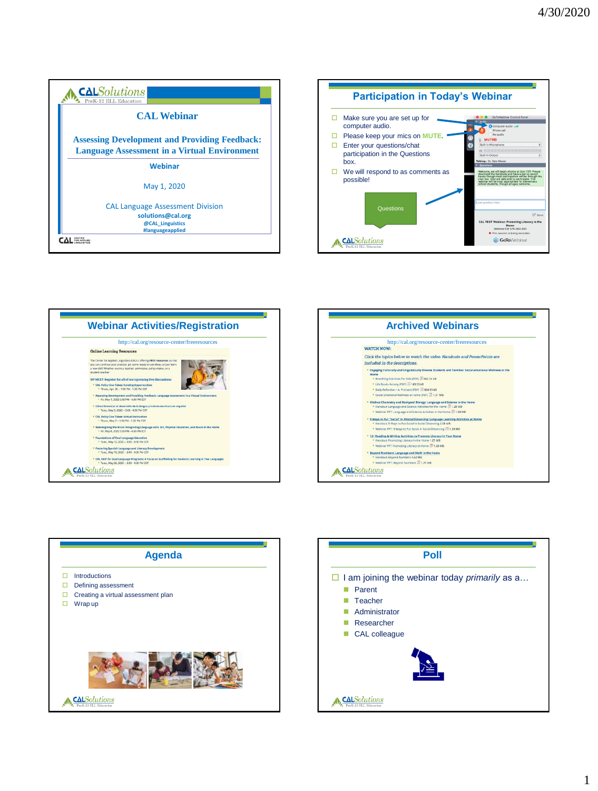









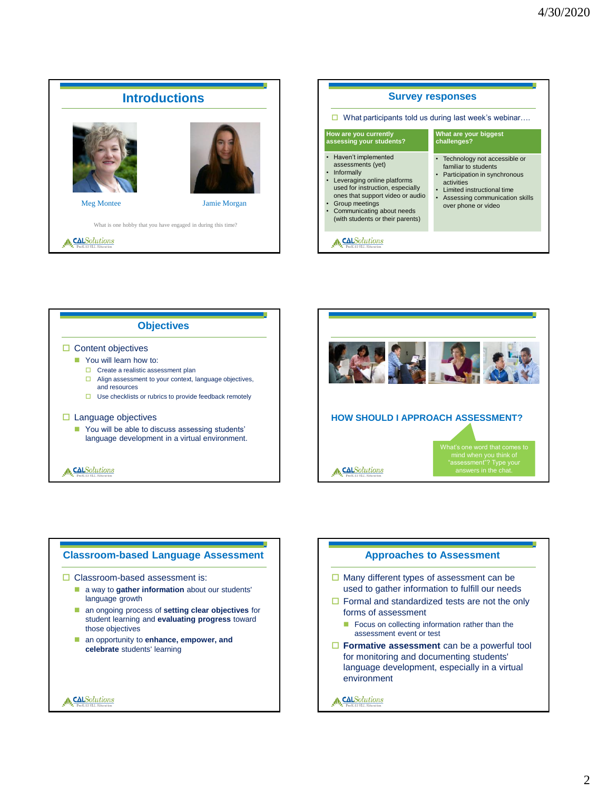



A CALSolutions



### **Classroom-based Language Assessment**  $\Box$  Classroom-based assessment is: **a** way to **gather information** about our students' language growth an ongoing process of **setting clear objectives** for student learning and **evaluating progress** toward those objectives an opportunity to **enhance, empower, and celebrate** students' learning A CALSolutions A CALSolutions

#### **Approaches to Assessment**

- $\Box$  Many different types of assessment can be used to gather information to fulfill our needs
- $\Box$  Formal and standardized tests are not the only forms of assessment
	- Focus on collecting information rather than the assessment event or test
- **Formative assessment** can be a powerful tool for monitoring and documenting students' language development, especially in a virtual environment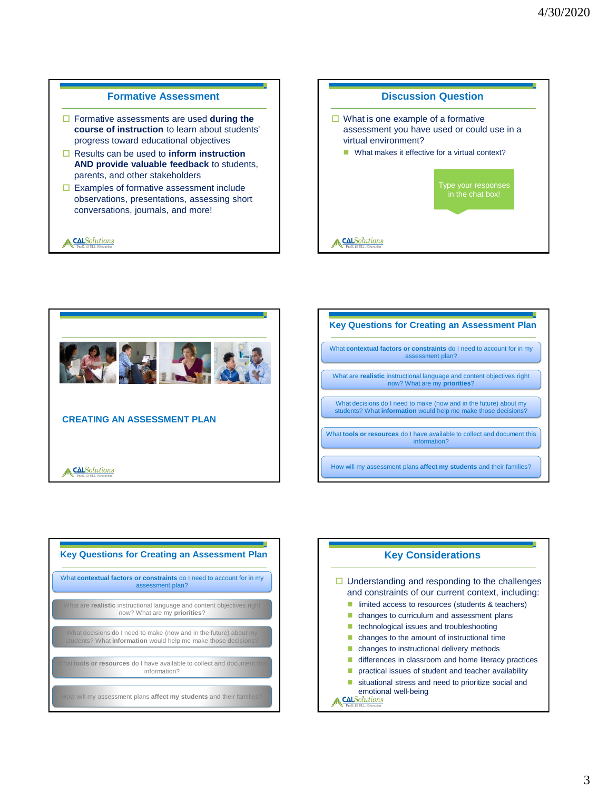#### **Formative Assessment**

- Formative assessments are used **during the course of instruction** to learn about students' progress toward educational objectives
- Results can be used to **inform instruction AND provide valuable feedback** to students, parents, and other stakeholders
- $\Box$  Examples of formative assessment include observations, presentations, assessing short conversations, journals, and more!

**CALSolutions** 

## **Discussion Question**  $\Box$  What is one example of a formative assessment you have used or could use in a virtual environment? ■ What makes it effective for a virtual context? Type your responses in the chat box! A CALSolutions







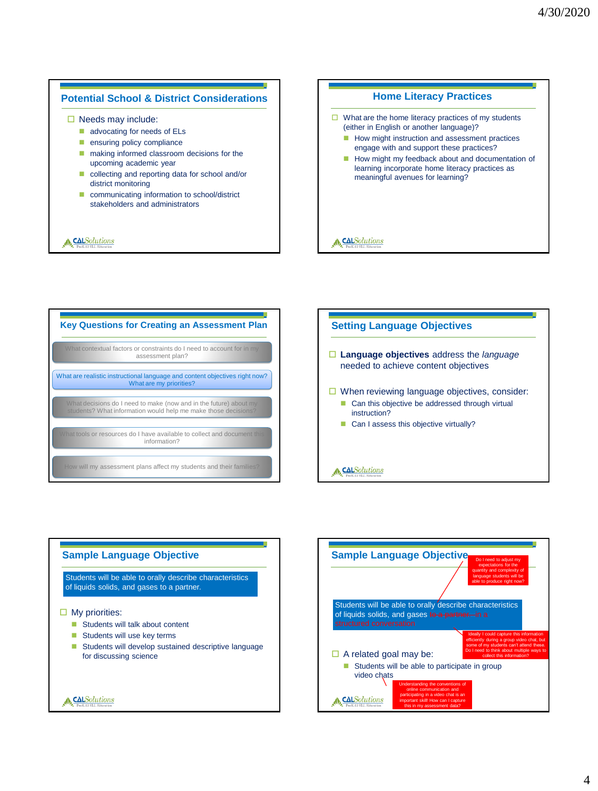#### **Potential School & District Considerations**

 $\Box$  Needs may include:

- advocating for needs of ELs
- **ensuring policy compliance**
- making informed classroom decisions for the upcoming academic year
- collecting and reporting data for school and/or district monitoring
- communicating information to school/district stakeholders and administrators

#### **A**CALSolutions

#### **Home Literacy Practices**

- $\Box$  What are the home literacy practices of my students (either in English or another language)?
	- How might instruction and assessment practices engage with and support these practices?
	- How might my feedback about and documentation of learning incorporate home literacy practices as meaningful avenues for learning?

#### A CALSolutions



# **Setting Language Objectives Language objectives** address the *language* needed to achieve content objectives  $\Box$  When reviewing language objectives, consider: ■ Can this objective be addressed through virtual instruction? Can I assess this objective virtually? **A.**CALSolutions



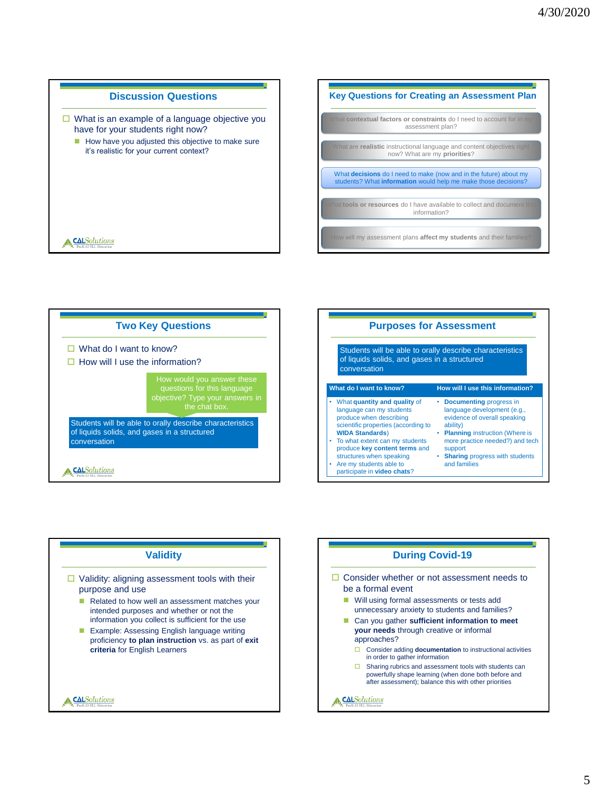







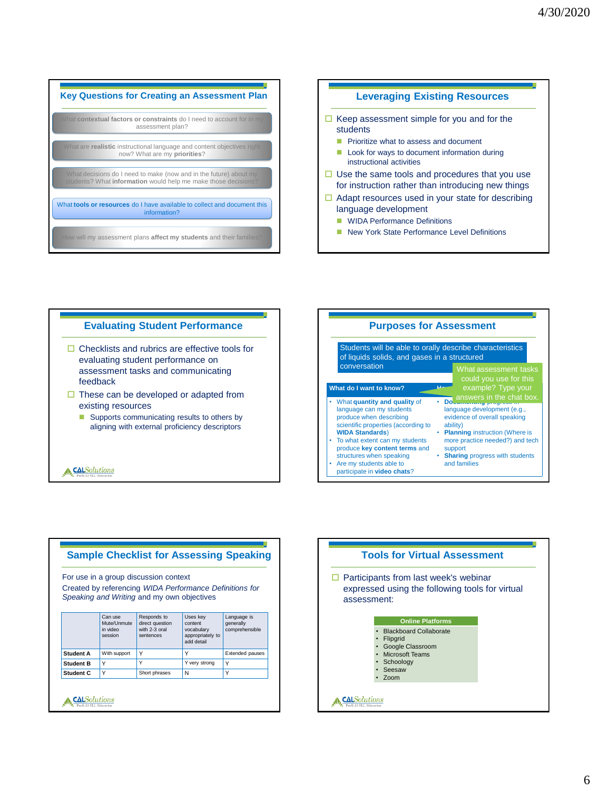

#### **Leveraging Existing Resources**

- $\Box$  Keep assessment simple for you and for the students
	- **Prioritize what to assess and document**
	- **Look for ways to document information during** instructional activities
- $\Box$  Use the same tools and procedures that you use for instruction rather than introducing new things
- $\Box$  Adapt resources used in your state for describing language development
	- **WIDA Performance Definitions**
	- New York State Performance Level Definitions







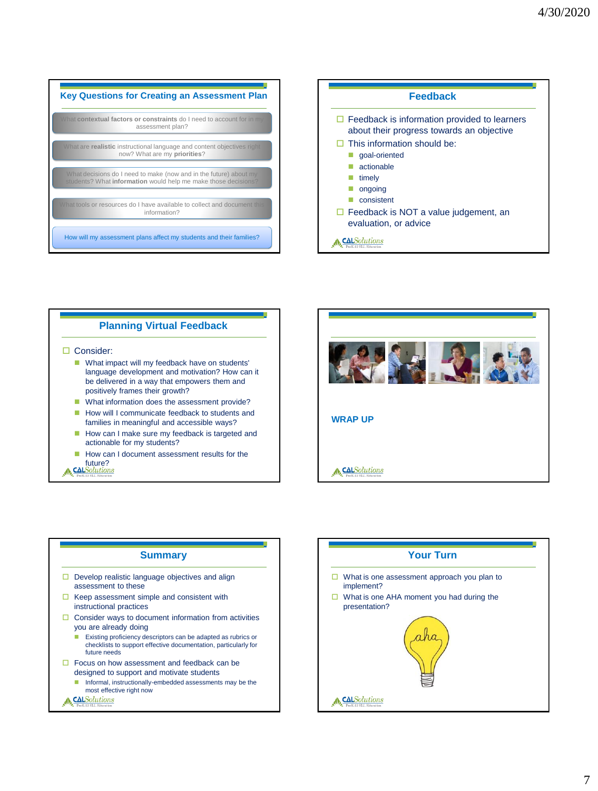| <b>Key Questions for Creating an Assessment Plan</b>                                                                                |
|-------------------------------------------------------------------------------------------------------------------------------------|
| What contextual factors or constraints do I need to account for in my<br>assessment plan?                                           |
| What are realistic instructional language and content objectives right<br>now? What are my priorities?                              |
| What decisions do I need to make (now and in the future) about my<br>students? What information would help me make those decisions? |
| What tools or resources do I have available to collect and document this<br>information?                                            |
| How will my assessment plans affect my students and their families?                                                                 |







#### **Summary**

- $\Box$  Develop realistic language objectives and align assessment to these
- $\Box$  Keep assessment simple and consistent with instructional practices
- $\Box$  Consider ways to document information from activities you are already doing
	- **Existing proficiency descriptors can be adapted as rubrics or** checklists to support effective documentation, particularly for future needs
- $\Box$  Focus on how assessment and feedback can be designed to support and motivate students
	- **Informal, instructionally-embedded assessments may be the** most effective right now

A CALSolutions